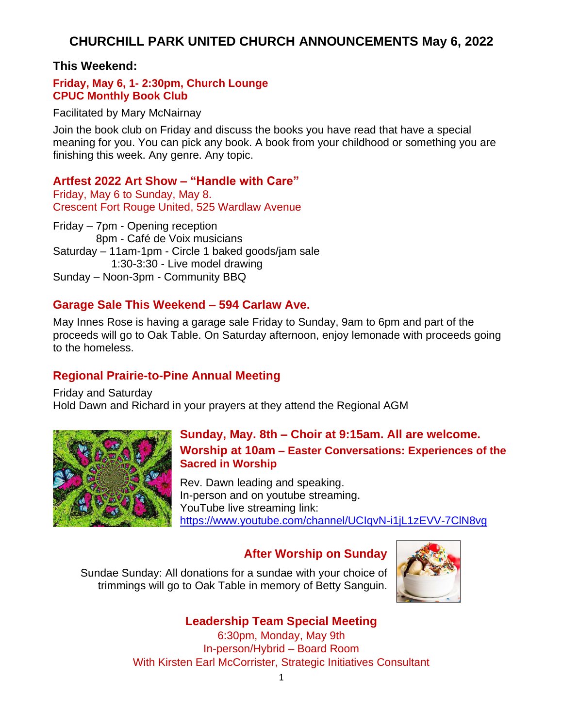# **CHURCHILL PARK UNITED CHURCH ANNOUNCEMENTS May 6, 2022**

#### **This Weekend:**

#### **Friday, May 6, 1- 2:30pm, Church Lounge CPUC Monthly Book Club**

Facilitated by Mary McNairnay

Join the book club on Friday and discuss the books you have read that have a special meaning for you. You can pick any book. A book from your childhood or something you are finishing this week. Any genre. Any topic.

#### **Artfest 2022 Art Show – "Handle with Care"**

Friday, May 6 to Sunday, May 8. Crescent Fort Rouge United, 525 Wardlaw Avenue

Friday – 7pm - Opening reception 8pm - Café de Voix musicians Saturday – 11am-1pm - Circle 1 baked goods/jam sale 1:30-3:30 - Live model drawing Sunday – Noon-3pm - Community BBQ

## **Garage Sale This Weekend – 594 Carlaw Ave.**

May Innes Rose is having a garage sale Friday to Sunday, 9am to 6pm and part of the proceeds will go to Oak Table. On Saturday afternoon, enjoy lemonade with proceeds going to the homeless.

## **Regional Prairie-to-Pine Annual Meeting**

Friday and Saturday Hold Dawn and Richard in your prayers at they attend the Regional AGM



#### **Sunday, May. 8th – Choir at 9:15am. All are welcome. Worship at 10am – Easter Conversations: Experiences of the Sacred in Worship**

Rev. Dawn leading and speaking. In-person and on youtube streaming. YouTube live streaming link: <https://www.youtube.com/channel/UCIqvN-i1jL1zEVV-7ClN8vg>

## **After Worship on Sunday**

Sundae Sunday: All donations for a sundae with your choice of trimmings will go to Oak Table in memory of Betty Sanguin.



## **Leadership Team Special Meeting**

6:30pm, Monday, May 9th In-person/Hybrid – Board Room With Kirsten Earl McCorrister, Strategic Initiatives Consultant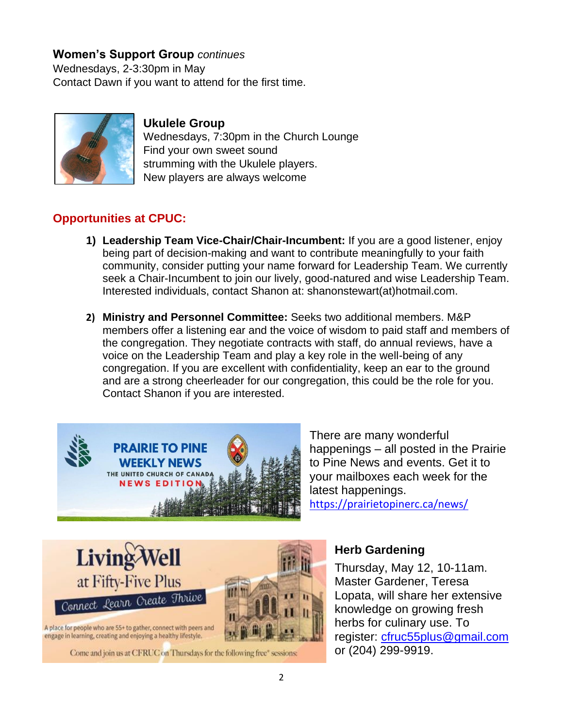## **Women's Support Group** *continues*

Wednesdays, 2-3:30pm in May Contact Dawn if you want to attend for the first time.



## **Ukulele Group**

Wednesdays, 7:30pm in the Church Lounge Find your own sweet sound strumming with the Ukulele players. New players are always welcome

## **Opportunities at CPUC:**

- **1) Leadership Team Vice-Chair/Chair-Incumbent:** If you are a good listener, enjoy being part of decision-making and want to contribute meaningfully to your faith community, consider putting your name forward for Leadership Team. We currently seek a Chair-Incumbent to join our lively, good-natured and wise Leadership Team. Interested individuals, contact Shanon at: shanonstewart(at)hotmail.com.
- **2) Ministry and Personnel Committee:** Seeks two additional members. M&P members offer a listening ear and the voice of wisdom to paid staff and members of the congregation. They negotiate contracts with staff, do annual reviews, have a voice on the Leadership Team and play a key role in the well-being of any congregation. If you are excellent with confidentiality, keep an ear to the ground and are a strong cheerleader for our congregation, this could be the role for you. Contact Shanon if you are interested.



There are many wonderful happenings – all posted in the Prairie to Pine News and events. Get it to your mailboxes each week for the latest happenings.

<https://prairietopinerc.ca/news/>



## **Herb Gardening**

Thursday, May 12, 10-11am. Master Gardener, Teresa Lopata, will share her extensive knowledge on growing fresh herbs for culinary use. To register: [cfruc55plus@gmail.com](mailto:cfruc55plus@gmail.com) or (204) 299-9919.

Come and join us at CFRUC on Thursdays for the following free" sessions: